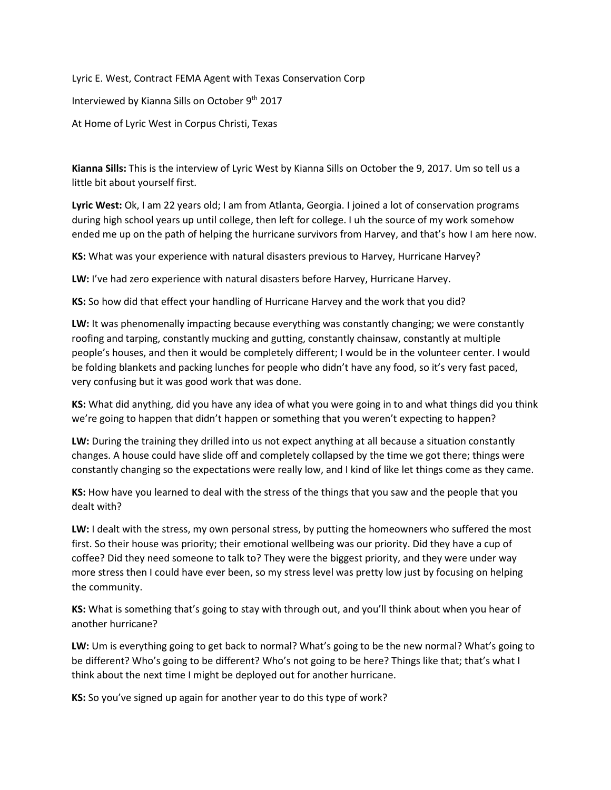Lyric E. West, Contract FEMA Agent with Texas Conservation Corp

Interviewed by Kianna Sills on October 9<sup>th</sup> 2017

At Home of Lyric West in Corpus Christi, Texas

**Kianna Sills:** This is the interview of Lyric West by Kianna Sills on October the 9, 2017. Um so tell us a little bit about yourself first.

**Lyric West:** Ok, I am 22 years old; I am from Atlanta, Georgia. I joined a lot of conservation programs during high school years up until college, then left for college. I uh the source of my work somehow ended me up on the path of helping the hurricane survivors from Harvey, and that's how I am here now.

**KS:** What was your experience with natural disasters previous to Harvey, Hurricane Harvey?

**LW:** I've had zero experience with natural disasters before Harvey, Hurricane Harvey.

**KS:** So how did that effect your handling of Hurricane Harvey and the work that you did?

**LW:** It was phenomenally impacting because everything was constantly changing; we were constantly roofing and tarping, constantly mucking and gutting, constantly chainsaw, constantly at multiple people's houses, and then it would be completely different; I would be in the volunteer center. I would be folding blankets and packing lunches for people who didn't have any food, so it's very fast paced, very confusing but it was good work that was done.

**KS:** What did anything, did you have any idea of what you were going in to and what things did you think we're going to happen that didn't happen or something that you weren't expecting to happen?

**LW:** During the training they drilled into us not expect anything at all because a situation constantly changes. A house could have slide off and completely collapsed by the time we got there; things were constantly changing so the expectations were really low, and I kind of like let things come as they came.

**KS:** How have you learned to deal with the stress of the things that you saw and the people that you dealt with?

**LW:** I dealt with the stress, my own personal stress, by putting the homeowners who suffered the most first. So their house was priority; their emotional wellbeing was our priority. Did they have a cup of coffee? Did they need someone to talk to? They were the biggest priority, and they were under way more stress then I could have ever been, so my stress level was pretty low just by focusing on helping the community.

**KS:** What is something that's going to stay with through out, and you'll think about when you hear of another hurricane?

**LW:** Um is everything going to get back to normal? What's going to be the new normal? What's going to be different? Who's going to be different? Who's not going to be here? Things like that; that's what I think about the next time I might be deployed out for another hurricane.

**KS:** So you've signed up again for another year to do this type of work?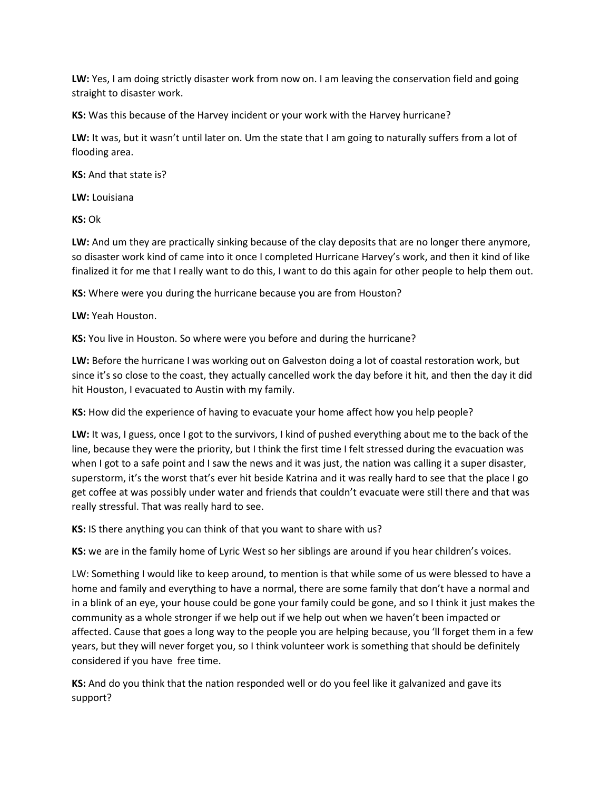**LW:** Yes, I am doing strictly disaster work from now on. I am leaving the conservation field and going straight to disaster work.

**KS:** Was this because of the Harvey incident or your work with the Harvey hurricane?

**LW:** It was, but it wasn't until later on. Um the state that I am going to naturally suffers from a lot of flooding area.

**KS:** And that state is?

**LW:** Louisiana

**KS:** Ok

**LW:** And um they are practically sinking because of the clay deposits that are no longer there anymore, so disaster work kind of came into it once I completed Hurricane Harvey's work, and then it kind of like finalized it for me that I really want to do this, I want to do this again for other people to help them out.

**KS:** Where were you during the hurricane because you are from Houston?

**LW:** Yeah Houston.

**KS:** You live in Houston. So where were you before and during the hurricane?

**LW:** Before the hurricane I was working out on Galveston doing a lot of coastal restoration work, but since it's so close to the coast, they actually cancelled work the day before it hit, and then the day it did hit Houston, I evacuated to Austin with my family.

**KS:** How did the experience of having to evacuate your home affect how you help people?

**LW:** It was, I guess, once I got to the survivors, I kind of pushed everything about me to the back of the line, because they were the priority, but I think the first time I felt stressed during the evacuation was when I got to a safe point and I saw the news and it was just, the nation was calling it a super disaster, superstorm, it's the worst that's ever hit beside Katrina and it was really hard to see that the place I go get coffee at was possibly under water and friends that couldn't evacuate were still there and that was really stressful. That was really hard to see.

**KS:** IS there anything you can think of that you want to share with us?

**KS:** we are in the family home of Lyric West so her siblings are around if you hear children's voices.

LW: Something I would like to keep around, to mention is that while some of us were blessed to have a home and family and everything to have a normal, there are some family that don't have a normal and in a blink of an eye, your house could be gone your family could be gone, and so I think it just makes the community as a whole stronger if we help out if we help out when we haven't been impacted or affected. Cause that goes a long way to the people you are helping because, you 'll forget them in a few years, but they will never forget you, so I think volunteer work is something that should be definitely considered if you have free time.

**KS:** And do you think that the nation responded well or do you feel like it galvanized and gave its support?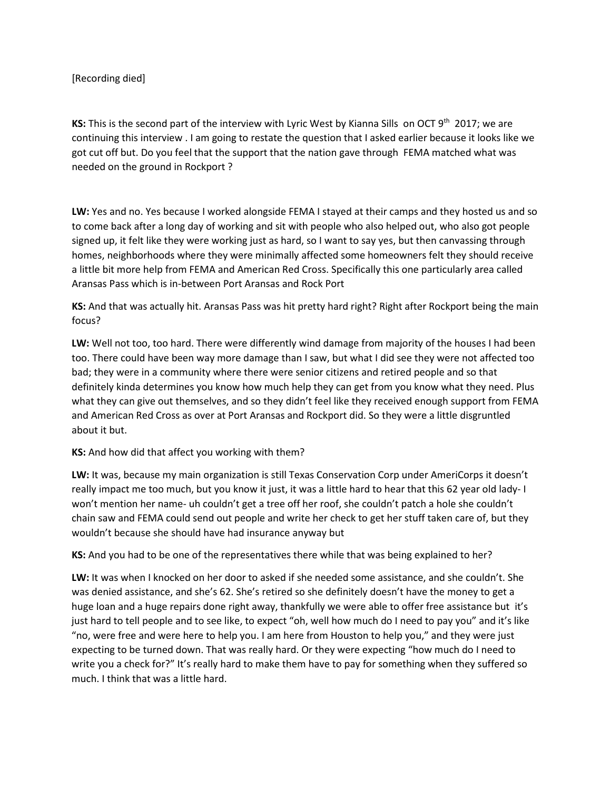## [Recording died]

**KS:** This is the second part of the interview with Lyric West by Kianna Sills on OCT 9<sup>th</sup> 2017; we are continuing this interview . I am going to restate the question that I asked earlier because it looks like we got cut off but. Do you feel that the support that the nation gave through FEMA matched what was needed on the ground in Rockport ?

**LW:** Yes and no. Yes because I worked alongside FEMA I stayed at their camps and they hosted us and so to come back after a long day of working and sit with people who also helped out, who also got people signed up, it felt like they were working just as hard, so I want to say yes, but then canvassing through homes, neighborhoods where they were minimally affected some homeowners felt they should receive a little bit more help from FEMA and American Red Cross. Specifically this one particularly area called Aransas Pass which is in-between Port Aransas and Rock Port

**KS:** And that was actually hit. Aransas Pass was hit pretty hard right? Right after Rockport being the main focus?

**LW:** Well not too, too hard. There were differently wind damage from majority of the houses I had been too. There could have been way more damage than I saw, but what I did see they were not affected too bad; they were in a community where there were senior citizens and retired people and so that definitely kinda determines you know how much help they can get from you know what they need. Plus what they can give out themselves, and so they didn't feel like they received enough support from FEMA and American Red Cross as over at Port Aransas and Rockport did. So they were a little disgruntled about it but.

## **KS:** And how did that affect you working with them?

**LW:** It was, because my main organization is still Texas Conservation Corp under AmeriCorps it doesn't really impact me too much, but you know it just, it was a little hard to hear that this 62 year old lady- I won't mention her name- uh couldn't get a tree off her roof, she couldn't patch a hole she couldn't chain saw and FEMA could send out people and write her check to get her stuff taken care of, but they wouldn't because she should have had insurance anyway but

**KS:** And you had to be one of the representatives there while that was being explained to her?

**LW:** It was when I knocked on her door to asked if she needed some assistance, and she couldn't. She was denied assistance, and she's 62. She's retired so she definitely doesn't have the money to get a huge loan and a huge repairs done right away, thankfully we were able to offer free assistance but it's just hard to tell people and to see like, to expect "oh, well how much do I need to pay you" and it's like "no, were free and were here to help you. I am here from Houston to help you," and they were just expecting to be turned down. That was really hard. Or they were expecting "how much do I need to write you a check for?" It's really hard to make them have to pay for something when they suffered so much. I think that was a little hard.